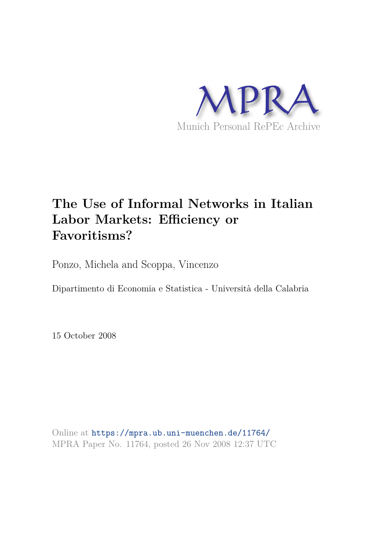

# **The Use of Informal Networks in Italian Labor Markets: Efficiency or Favoritisms?**

Ponzo, Michela and Scoppa, Vincenzo

Dipartimento di Economia e Statistica - Università della Calabria

15 October 2008

Online at https://mpra.ub.uni-muenchen.de/11764/ MPRA Paper No. 11764, posted 26 Nov 2008 12:37 UTC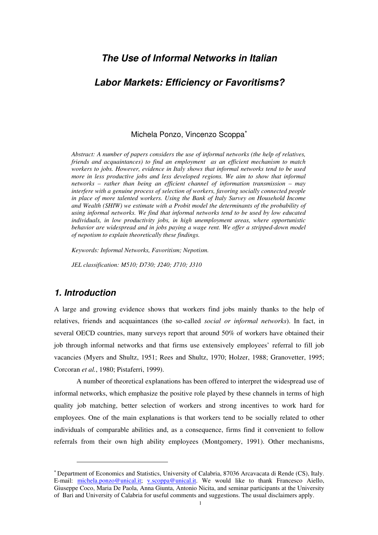# *The Use of Informal Networks in Italian*

# *Labor Markets: Efficiency or Favoritisms?*

#### Michela Ponzo, Vincenzo Scoppa<sup>∗</sup>

*Abstract: A number of papers considers the use of informal networks (the help of relatives, friends and acquaintances) to find an employment as an efficient mechanism to match workers to jobs. However, evidence in Italy shows that informal networks tend to be used more in less productive jobs and less developed regions. We aim to show that informal networks – rather than being an efficient channel of information transmission – may interfere with a genuine process of selection of workers, favoring socially connected people in place of more talented workers. Using the Bank of Italy Survey on Household Income and Wealth (SHIW) we estimate with a Probit model the determinants of the probability of using informal networks. We find that informal networks tend to be used by low educated individuals, in low productivity jobs, in high unemployment areas, where opportunistic behavior are widespread and in jobs paying a wage rent. We offer a stripped-down model of nepotism to explain theoretically these findings.* 

*Keywords: Informal Networks, Favoritism; Nepotism.* 

*JEL classification: M510; D730; J240; J710; J310* 

# *1. Introduction*

 $\overline{a}$ 

A large and growing evidence shows that workers find jobs mainly thanks to the help of relatives, friends and acquaintances (the so-called *social or informal networks*). In fact, in several OECD countries, many surveys report that around 50% of workers have obtained their job through informal networks and that firms use extensively employees' referral to fill job vacancies (Myers and Shultz, 1951; Rees and Shultz, 1970; Holzer, 1988; Granovetter, 1995; Corcoran *et al.*, 1980; Pistaferri, 1999).

A number of theoretical explanations has been offered to interpret the widespread use of informal networks, which emphasize the positive role played by these channels in terms of high quality job matching, better selection of workers and strong incentives to work hard for employees. One of the main explanations is that workers tend to be socially related to other individuals of comparable abilities and, as a consequence, firms find it convenient to follow referrals from their own high ability employees (Montgomery, 1991). Other mechanisms,

<sup>∗</sup> Department of Economics and Statistics, University of Calabria, 87036 Arcavacata di Rende (CS), Italy. E-mail: michela.ponzo@unical.it; v.scoppa@unical.it. We would like to thank Francesco Aiello, Giuseppe Coco, Maria De Paola, Anna Giunta, Antonio Nicita, and seminar participants at the University of Bari and University of Calabria for useful comments and suggestions. The usual disclaimers apply.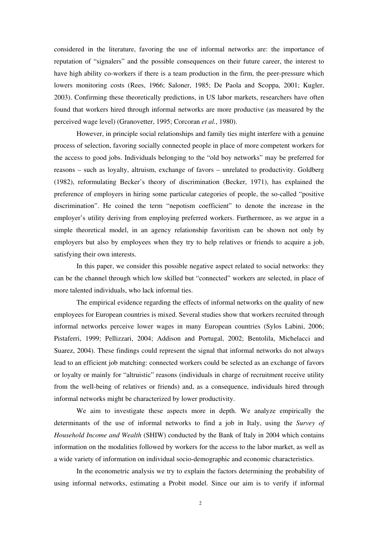considered in the literature, favoring the use of informal networks are: the importance of reputation of "signalers" and the possible consequences on their future career, the interest to have high ability co-workers if there is a team production in the firm, the peer-pressure which lowers monitoring costs (Rees, 1966; Saloner, 1985; De Paola and Scoppa, 2001; Kugler, 2003). Confirming these theoretically predictions, in US labor markets, researchers have often found that workers hired through informal networks are more productive (as measured by the perceived wage level) (Granovetter, 1995; Corcoran *et al.*, 1980).

However, in principle social relationships and family ties might interfere with a genuine process of selection, favoring socially connected people in place of more competent workers for the access to good jobs. Individuals belonging to the "old boy networks" may be preferred for reasons – such as loyalty, altruism, exchange of favors – unrelated to productivity. Goldberg (1982), reformulating Becker's theory of discrimination (Becker, 1971), has explained the preference of employers in hiring some particular categories of people, the so-called "positive discrimination". He coined the term "nepotism coefficient" to denote the increase in the employer's utility deriving from employing preferred workers. Furthermore, as we argue in a simple theoretical model, in an agency relationship favoritism can be shown not only by employers but also by employees when they try to help relatives or friends to acquire a job, satisfying their own interests.

In this paper, we consider this possible negative aspect related to social networks: they can be the channel through which low skilled but "connected" workers are selected, in place of more talented individuals, who lack informal ties.

The empirical evidence regarding the effects of informal networks on the quality of new employees for European countries is mixed. Several studies show that workers recruited through informal networks perceive lower wages in many European countries (Sylos Labini, 2006; Pistaferri, 1999; Pellizzari, 2004; Addison and Portugal, 2002; Bentolila, Michelacci and Suarez, 2004). These findings could represent the signal that informal networks do not always lead to an efficient job matching: connected workers could be selected as an exchange of favors or loyalty or mainly for "altruistic" reasons (individuals in charge of recruitment receive utility from the well-being of relatives or friends) and, as a consequence, individuals hired through informal networks might be characterized by lower productivity.

We aim to investigate these aspects more in depth. We analyze empirically the determinants of the use of informal networks to find a job in Italy, using the *Survey of Household Income and Wealth* (SHIW) conducted by the Bank of Italy in 2004 which contains information on the modalities followed by workers for the access to the labor market, as well as a wide variety of information on individual socio-demographic and economic characteristics.

In the econometric analysis we try to explain the factors determining the probability of using informal networks, estimating a Probit model. Since our aim is to verify if informal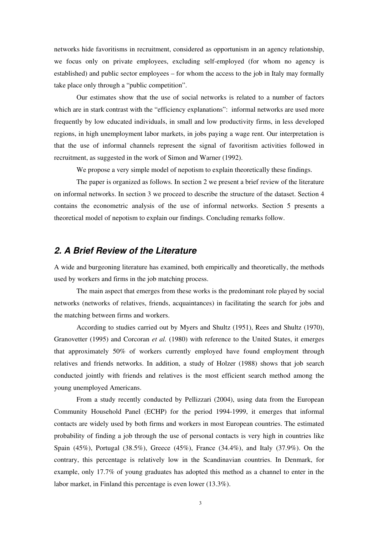networks hide favoritisms in recruitment, considered as opportunism in an agency relationship, we focus only on private employees, excluding self-employed (for whom no agency is established) and public sector employees – for whom the access to the job in Italy may formally take place only through a "public competition".

Our estimates show that the use of social networks is related to a number of factors which are in stark contrast with the "efficiency explanations": informal networks are used more frequently by low educated individuals, in small and low productivity firms, in less developed regions, in high unemployment labor markets, in jobs paying a wage rent. Our interpretation is that the use of informal channels represent the signal of favoritism activities followed in recruitment, as suggested in the work of Simon and Warner (1992).

We propose a very simple model of nepotism to explain theoretically these findings.

The paper is organized as follows. In section 2 we present a brief review of the literature on informal networks. In section 3 we proceed to describe the structure of the dataset. Section 4 contains the econometric analysis of the use of informal networks. Section 5 presents a theoretical model of nepotism to explain our findings. Concluding remarks follow.

# *2. A Brief Review of the Literature*

A wide and burgeoning literature has examined, both empirically and theoretically, the methods used by workers and firms in the job matching process.

The main aspect that emerges from these works is the predominant role played by social networks (networks of relatives, friends, acquaintances) in facilitating the search for jobs and the matching between firms and workers.

According to studies carried out by Myers and Shultz (1951), Rees and Shultz (1970), Granovetter (1995) and Corcoran *et al.* (1980) with reference to the United States, it emerges that approximately 50% of workers currently employed have found employment through relatives and friends networks. In addition, a study of Holzer (1988) shows that job search conducted jointly with friends and relatives is the most efficient search method among the young unemployed Americans.

From a study recently conducted by Pellizzari (2004), using data from the European Community Household Panel (ECHP) for the period 1994-1999, it emerges that informal contacts are widely used by both firms and workers in most European countries. The estimated probability of finding a job through the use of personal contacts is very high in countries like Spain (45%), Portugal (38.5%), Greece (45%), France (34.4%), and Italy (37.9%). On the contrary, this percentage is relatively low in the Scandinavian countries. In Denmark, for example, only 17.7% of young graduates has adopted this method as a channel to enter in the labor market, in Finland this percentage is even lower (13.3%).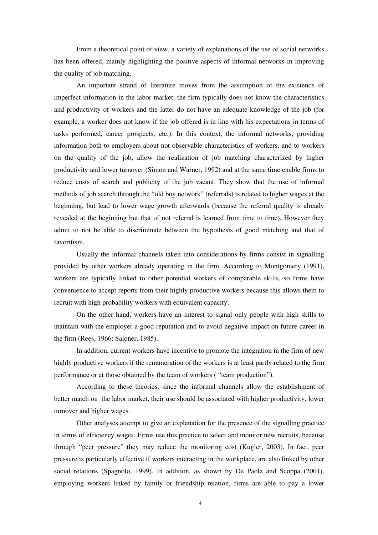From a theoretical point of view, a variety of explanations of the use of social networks has been offered, mainly highlighting the positive aspects of informal networks in improving the quality of job matching.

An important strand of literature moves from the assumption of the existence of imperfect information in the labor market: the firm typically does not know the characteristics and productivity of workers and the latter do not have an adequate knowledge of the job (for example, a worker does not know if the job offered is in line with his expectations in terms of tasks performed, career prospects, etc.). In this context, the informal networks, providing information both to employers about not observable characteristics of workers, and to workers on the quality of the job, allow the realization of job matching characterized by higher productivity and lower turnover (Simon and Warner, 1992) and at the same time enable firms to reduce costs of search and publicity of the job vacant. They show that the use of informal methods of job search through the "old boy network" (referrals) is related to higher wages at the beginning, but lead to lower wage growth afterwards (because the referral quality is already revealed at the beginning but that of not referral is learned from time to time). However they admit to not be able to discriminate between the hypothesis of good matching and that of favoritism.

Usually the informal channels taken into considerations by firms consist in signalling provided by other workers already operating in the firm. According to Montgomery (1991), workers are typically linked to other potential workers of comparable skills, so firms have convenience to accept reports from their highly productive workers because this allows them to recruit with high probability workers with equivalent capacity.

On the other hand, workers have an interest to signal only people with high skills to maintain with the employer a good reputation and to avoid negative impact on future career in the firm (Rees, 1966; Saloner, 1985).

In addition, current workers have incentive to promote the integration in the firm of new highly productive workers if the remuneration of the workers is at least partly related to the firm performance or at those obtained by the team of workers ( "team production").

According to these theories, since the informal channels allow the establishment of better match on the labor market, their use should be associated with higher productivity, lower turnover and higher wages.

Other analyses attempt to give an explanation for the presence of the signalling practice in terms of efficiency wages. Firms use this practice to select and monitor new recruits, because through "peer pressure" they may reduce the monitoring cost (Kugler, 2003). In fact, peer pressure is particularly effective if workers interacting in the workplace, are also linked by other social relations (Spagnolo, 1999). In addition, as shown by De Paola and Scoppa (2001), employing workers linked by family or friendship relation, firms are able to pay a lower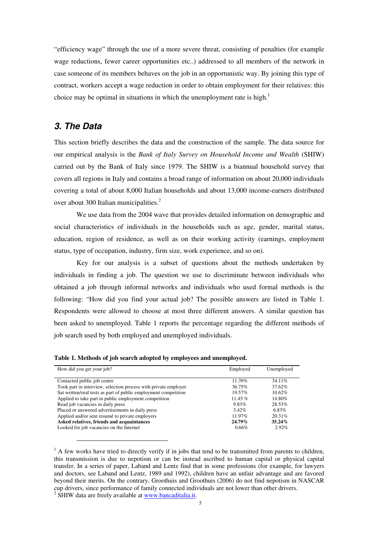"efficiency wage" through the use of a more severe threat, consisting of penalties (for example wage reductions, fewer career opportunities etc..) addressed to all members of the network in case someone of its members behaves on the job in an opportunistic way. By joining this type of contract, workers accept a wage reduction in order to obtain employment for their relatives: this choice may be optimal in situations in which the unemployment rate is high.<sup>1</sup>

#### *3. The Data*

This section briefly describes the data and the construction of the sample. The data source for our empirical analysis is the *Bank of Italy Survey on Household Income and Wealth* (SHIW) carried out by the Bank of Italy since 1979. The SHIW is a biannual household survey that covers all regions in Italy and contains a broad range of information on about 20,000 individuals covering a total of about 8,000 Italian households and about 13,000 income-earners distributed over about 300 Italian municipalities.<sup>2</sup>

We use data from the 2004 wave that provides detailed information on demographic and social characteristics of individuals in the households such as age, gender, marital status, education, region of residence, as well as on their working activity (earnings, employment status, type of occupation, industry, firm size, work experience, and so on).

Key for our analysis is a subset of questions about the methods undertaken by individuals in finding a job. The question we use to discriminate between individuals who obtained a job through informal networks and individuals who used formal methods is the following: "How did you find your actual job? The possible answers are listed in Table 1. Respondents were allowed to choose at most three different answers. A similar question has been asked to unemployed. Table 1 reports the percentage regarding the different methods of job search used by both employed and unemployed individuals.

| How did you get your job?                                       | Employed  | Unemployed |
|-----------------------------------------------------------------|-----------|------------|
|                                                                 |           |            |
| Contacted public job centre                                     | 11.39%    | 34.11%     |
| Took part in interview, selection process with private employer | 36.75%    | 37.62%     |
| Sat written/oral tests as part of public employment competition | 19.57%    | $10.62\%$  |
| Applied to take part in public employment competition           | 11.45%    | 14.80%     |
| Read job vacancies in daily press                               | 9.83%     | 28.53%     |
| Placed or answered advertisements in daily press                | $3.42\%$  | 6.83%      |
| Applied and/or sent resumé to private employers                 | 11.97%    | 20.31%     |
| Asked relatives, friends and acquaintances                      | $24.79\%$ | 35.24%     |
| Looked for job vacancies on the Internet                        | 0.66%     | $2.92\%$   |

 $<sup>1</sup>$  A few works have tried to directly verify if in jobs that tend to be transmitted from parents to children,</sup> this transmission is due to nepotism or can be instead ascribed to human capital or physical capital transfer. In a series of paper, Laband and Lentz find that in some professions (for example, for lawyers and doctors, see Laband and Lentz, 1989 and 1992), children have an unfair advantage and are favored beyond their merits. On the contrary, Groothuis and Groothuis (2006) do not find nepotism in NASCAR cup drivers, since performance of family connected individuals are not lower than other drivers.

<sup>2</sup> SHIW data are freely available at www.bancaditalia.it.

 $\overline{a}$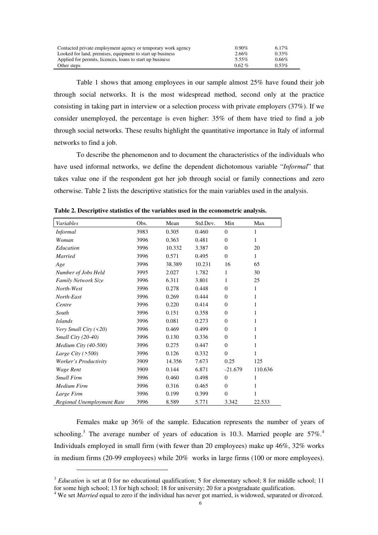| Contacted private employment agency or temporary work agency | $0.90\%$ | 6.17%    |
|--------------------------------------------------------------|----------|----------|
| Looked for land, premises, equipment to start up business    | 2.66%    | $0.33\%$ |
| Applied for permits, licences, loans to start up business    | 5.55%    | $0.66\%$ |
| Other steps                                                  | $0.62\%$ | $0.53\%$ |

Table 1 shows that among employees in our sample almost 25% have found their job through social networks. It is the most widespread method, second only at the practice consisting in taking part in interview or a selection process with private employers (37%). If we consider unemployed, the percentage is even higher: 35% of them have tried to find a job through social networks. These results highlight the quantitative importance in Italy of informal networks to find a job.

To describe the phenomenon and to document the characteristics of the individuals who have used informal networks, we define the dependent dichotomous variable "*Informal*" that takes value one if the respondent got her job through social or family connections and zero otherwise. Table 2 lists the descriptive statistics for the main variables used in the analysis.

| Variables                  | Obs. | Mean   | Std.Dev. | Min          | Max     |
|----------------------------|------|--------|----------|--------------|---------|
| <b>Informal</b>            | 3983 | 0.305  | 0.460    | $\mathbf{0}$ | 1       |
| Woman                      | 3996 | 0.363  | 0.481    | $\mathbf{0}$ | 1       |
| Education                  | 3996 | 10.332 | 3.387    | $\Omega$     | 20      |
| <b>Married</b>             | 3996 | 0.571  | 0.495    | $\mathbf{0}$ | 1       |
| Age                        | 3996 | 38.389 | 10.231   | 16           | 65      |
| Number of Jobs Held        | 3995 | 2.027  | 1.782    | 1            | 30      |
| Family Network Size        | 3996 | 6.311  | 3.801    | 1            | 25      |
| North-West                 | 3996 | 0.278  | 0.448    | $\Omega$     | 1       |
| North-East                 | 3996 | 0.269  | 0.444    | $\mathbf{0}$ | 1       |
| Centre                     | 3996 | 0.220  | 0.414    | $\Omega$     | 1       |
| South                      | 3996 | 0.151  | 0.358    | $\Omega$     | 1       |
| <i>Islands</i>             | 3996 | 0.081  | 0.273    | $\Omega$     | 1       |
| Very Small City $($ < 20)  | 3996 | 0.469  | 0.499    | $\mathbf{0}$ | 1       |
| Small City (20-40)         | 3996 | 0.130  | 0.336    | $\mathbf{0}$ | 1       |
| Medium City $(40-500)$     | 3996 | 0.275  | 0.447    | $\Omega$     | 1       |
| Large City $($ >500)       | 3996 | 0.126  | 0.332    | $\Omega$     | 1       |
| Worker's Productivity      | 3909 | 14.356 | 7.673    | 0.25         | 125     |
| Wage Rent                  | 3909 | 0.144  | 6.871    | $-21.679$    | 110.636 |
| <b>Small Firm</b>          | 3996 | 0.460  | 0.498    | $\mathbf{0}$ | 1       |
| <b>Medium Firm</b>         | 3996 | 0.316  | 0.465    | $\Omega$     | 1       |
| Large Firm                 | 3996 | 0.199  | 0.399    | $\theta$     | 1       |
| Regional Unemployment Rate | 3996 | 8.589  | 5.771    | 3.342        | 22.533  |

**Table 2. Descriptive statistics of the variables used in the econometric analysis.** 

Females make up 36% of the sample. Education represents the number of years of schooling.<sup>3</sup> The average number of years of education is 10.3. Married people are  $57\%$ .<sup>4</sup> Individuals employed in small firm (with fewer than 20 employees) make up 46%, 32% works in medium firms (20-99 employees) while 20% works in large firms (100 or more employees).

 $\ddot{\phantom{a}}$ 

<sup>&</sup>lt;sup>3</sup> *Education* is set at 0 for no educational qualification; 5 for elementary school; 8 for middle school; 11 for some high school; 13 for high school; 18 for university; 20 for a postgraduate qualification.

<sup>&</sup>lt;sup>4</sup> We set *Married* equal to zero if the individual has never got married, is widowed, separated or divorced.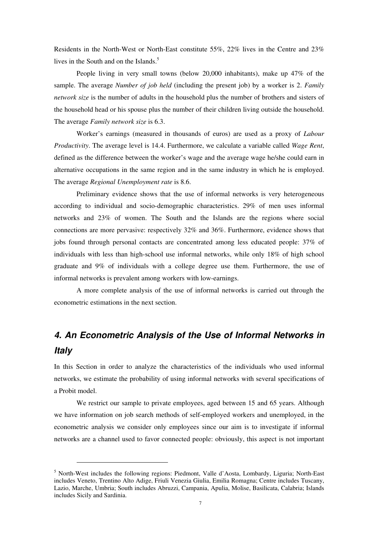Residents in the North-West or North-East constitute 55%, 22% lives in the Centre and 23% lives in the South and on the Islands. $5$ 

People living in very small towns (below 20,000 inhabitants), make up 47% of the sample. The average *Number of job held* (including the present job) by a worker is 2. *Family network size* is the number of adults in the household plus the number of brothers and sisters of the household head or his spouse plus the number of their children living outside the household. The average *Family network size* is 6.3.

Worker's earnings (measured in thousands of euros) are used as a proxy of *Labour Productivity*. The average level is 14.4. Furthermore, we calculate a variable called *Wage Rent*, defined as the difference between the worker's wage and the average wage he/she could earn in alternative occupations in the same region and in the same industry in which he is employed. The average *Regional Unemployment rate* is 8.6.

Preliminary evidence shows that the use of informal networks is very heterogeneous according to individual and socio-demographic characteristics. 29% of men uses informal networks and 23% of women. The South and the Islands are the regions where social connections are more pervasive: respectively 32% and 36%. Furthermore, evidence shows that jobs found through personal contacts are concentrated among less educated people: 37% of individuals with less than high-school use informal networks, while only 18% of high school graduate and 9% of individuals with a college degree use them. Furthermore, the use of informal networks is prevalent among workers with low-earnings.

A more complete analysis of the use of informal networks is carried out through the econometric estimations in the next section.

# *4. An Econometric Analysis of the Use of Informal Networks in Italy*

In this Section in order to analyze the characteristics of the individuals who used informal networks, we estimate the probability of using informal networks with several specifications of a Probit model.

We restrict our sample to private employees, aged between 15 and 65 years. Although we have information on job search methods of self-employed workers and unemployed, in the econometric analysis we consider only employees since our aim is to investigate if informal networks are a channel used to favor connected people: obviously, this aspect is not important

 $\overline{a}$ 

<sup>&</sup>lt;sup>5</sup> North-West includes the following regions: Piedmont, Valle d'Aosta, Lombardy, Liguria; North-East includes Veneto, Trentino Alto Adige, Friuli Venezia Giulia, Emilia Romagna; Centre includes Tuscany, Lazio, Marche, Umbria; South includes Abruzzi, Campania, Apulia, Molise, Basilicata, Calabria; Islands includes Sicily and Sardinia.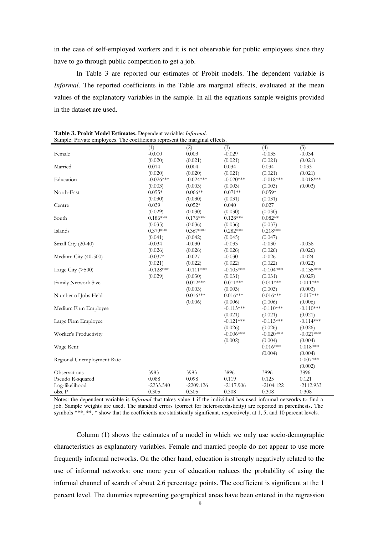in the case of self-employed workers and it is not observable for public employees since they have to go through public competition to get a job.

In Table 3 are reported our estimates of Probit models. The dependent variable is *Informal*. The reported coefficients in the Table are marginal effects, evaluated at the mean values of the explanatory variables in the sample. In all the equations sample weights provided in the dataset are used.

| Sample: Private employees. The coefficients represent the marginal effects. |             |             |             |             |             |
|-----------------------------------------------------------------------------|-------------|-------------|-------------|-------------|-------------|
|                                                                             | (1)         | (2)         | (3)         | (4)         | (5)         |
| Female                                                                      | $-0.000$    | 0.003       | $-0.029$    | $-0.035$    | $-0.034$    |
|                                                                             | (0.020)     | (0.021)     | (0.021)     | (0.021)     | (0.021)     |
| Married                                                                     | 0.014       | 0.004       | 0.034       | 0.034       | 0.033       |
|                                                                             | (0.020)     | (0.020)     | (0.021)     | (0.021)     | (0.021)     |
| Education                                                                   | $-0.026***$ | $-0.024***$ | $-0.020***$ | $-0.018***$ | $-0.018***$ |
|                                                                             | (0.003)     | (0.003)     | (0.003)     | (0.003)     | (0.003)     |
| North-East                                                                  | $0.055*$    | $0.066**$   | $0.071**$   | $0.059*$    |             |
|                                                                             | (0.030)     | (0.030)     | (0.031)     | (0.031)     |             |
| Centre                                                                      | 0.039       | $0.052*$    | 0.040       | 0.027       |             |
|                                                                             | (0.029)     | (0.030)     | (0.030)     | (0.030)     |             |
| South                                                                       | $0.186***$  | $0.176***$  | $0.128***$  | $0.082**$   |             |
|                                                                             | (0.035)     | (0.036)     | (0.036)     | (0.037)     |             |
| Islands                                                                     | $0.379***$  | $0.367***$  | $0.282***$  | $0.218***$  |             |
|                                                                             | (0.041)     | (0.042)     | (0.045)     | (0.047)     |             |
| Small City (20-40)                                                          | $-0.034$    | $-0.030$    | $-0.033$    | $-0.030$    | $-0.038$    |
|                                                                             | (0.026)     | (0.026)     | (0.026)     | (0.026)     | (0.026)     |
| Medium City (40-500)                                                        | $-0.037*$   | $-0.027$    | $-0.030$    | $-0.026$    | $-0.024$    |
|                                                                             | (0.021)     | (0.022)     | (0.022)     | (0.022)     | (0.022)     |
| Large City $(>500)$                                                         | $-0.128***$ | $-0.111***$ | $-0.105***$ | $-0.104***$ | $-0.135***$ |
|                                                                             | (0.029)     | (0.030)     | (0.031)     | (0.031)     | (0.029)     |
| Family Network Size                                                         |             | $0.012***$  | $0.011***$  | $0.011***$  | $0.011***$  |
|                                                                             |             | (0.003)     | (0.003)     | (0.003)     | (0.003)     |
| Number of Jobs Held                                                         |             | $0.016***$  | $0.016***$  | $0.016***$  | $0.017***$  |
|                                                                             |             | (0.006)     | (0.006)     | (0.006)     | (0.006)     |
| Medium Firm Employee                                                        |             |             | $-0.113***$ | $-0.110***$ | $-0.110***$ |
|                                                                             |             |             | (0.021)     | (0.021)     | (0.021)     |
| Large Firm Employee                                                         |             |             | $-0.121***$ | $-0.113***$ | $-0.114***$ |
|                                                                             |             |             | (0.026)     | (0.026)     | (0.026)     |
| Worker's Productivity                                                       |             |             | $-0.006***$ | $-0.020***$ | $-0.021***$ |
|                                                                             |             |             | (0.002)     | (0.004)     | (0.004)     |
| Wage Rent                                                                   |             |             |             | $0.016***$  | $0.018***$  |
|                                                                             |             |             |             | (0.004)     | (0.004)     |
| Regional Unemployment Rate                                                  |             |             |             |             | $0.007***$  |
|                                                                             |             |             |             |             | (0.002)     |
| Observations                                                                | 3983        | 3983        | 3896        | 3896        | 3896        |
| Pseudo R-squared                                                            | 0.088       | 0.098       | 0.119       | 0.125       | 0.121       |
| Log-likelihood                                                              | $-2233.540$ | $-2209.126$ | $-2117.906$ | $-2104.122$ | $-2112.933$ |
| obs. P                                                                      | 0.305       | 0.305       | 0.308       | 0.308       | 0.308       |

**Table 3. Probit Model Estimates.** Dependent variable: *Informal*.

Notes: the dependent variable is *Informal* that takes value 1 if the individual has used informal networks to find a job. Sample weights are used. The standard errors (correct for heteroscedasticity) are reported in parenthesis. The symbols \*\*\*, \*\*, \* show that the coefficients are statistically significant, respectively, at 1, 5, and 10 percent levels.

Column (1) shows the estimates of a model in which we only use socio-demographic characteristics as explanatory variables. Female and married people do not appear to use more frequently informal networks. On the other hand, education is strongly negatively related to the use of informal networks: one more year of education reduces the probability of using the informal channel of search of about 2.6 percentage points. The coefficient is significant at the 1 percent level. The dummies representing geographical areas have been entered in the regression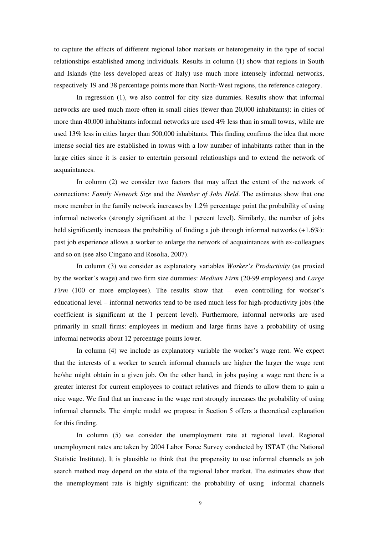to capture the effects of different regional labor markets or heterogeneity in the type of social relationships established among individuals. Results in column (1) show that regions in South and Islands (the less developed areas of Italy) use much more intensely informal networks, respectively 19 and 38 percentage points more than North-West regions, the reference category.

In regression (1), we also control for city size dummies. Results show that informal networks are used much more often in small cities (fewer than 20,000 inhabitants): in cities of more than 40,000 inhabitants informal networks are used 4% less than in small towns, while are used 13% less in cities larger than 500,000 inhabitants. This finding confirms the idea that more intense social ties are established in towns with a low number of inhabitants rather than in the large cities since it is easier to entertain personal relationships and to extend the network of acquaintances.

In column (2) we consider two factors that may affect the extent of the network of connections: *Family Network Size* and the *Number of Jobs Held*. The estimates show that one more member in the family network increases by 1.2% percentage point the probability of using informal networks (strongly significant at the 1 percent level). Similarly, the number of jobs held significantly increases the probability of finding a job through informal networks  $(+1.6\%)$ : past job experience allows a worker to enlarge the network of acquaintances with ex-colleagues and so on (see also Cingano and Rosolia, 2007).

In column (3) we consider as explanatory variables *Worker's Productivity* (as proxied by the worker's wage) and two firm size dummies: *Medium Firm* (20-99 employees) and *Large Firm* (100 or more employees). The results show that – even controlling for worker's educational level – informal networks tend to be used much less for high-productivity jobs (the coefficient is significant at the 1 percent level). Furthermore, informal networks are used primarily in small firms: employees in medium and large firms have a probability of using informal networks about 12 percentage points lower.

In column (4) we include as explanatory variable the worker's wage rent. We expect that the interests of a worker to search informal channels are higher the larger the wage rent he/she might obtain in a given job. On the other hand, in jobs paying a wage rent there is a greater interest for current employees to contact relatives and friends to allow them to gain a nice wage. We find that an increase in the wage rent strongly increases the probability of using informal channels. The simple model we propose in Section 5 offers a theoretical explanation for this finding.

In column (5) we consider the unemployment rate at regional level. Regional unemployment rates are taken by 2004 Labor Force Survey conducted by ISTAT (the National Statistic Institute). It is plausible to think that the propensity to use informal channels as job search method may depend on the state of the regional labor market. The estimates show that the unemployment rate is highly significant: the probability of using informal channels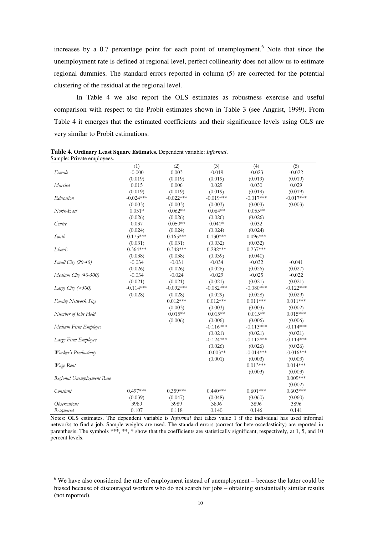increases by a 0.7 percentage point for each point of unemployment.<sup>6</sup> Note that since the unemployment rate is defined at regional level, perfect collinearity does not allow us to estimate regional dummies. The standard errors reported in column (5) are corrected for the potential clustering of the residual at the regional level.

In Table 4 we also report the OLS estimates as robustness exercise and useful comparison with respect to the Probit estimates shown in Table 3 (see Angrist, 1999). From Table 4 it emerges that the estimated coefficients and their significance levels using OLS are very similar to Probit estimations.

| sampie. I fivate employées. |             |             |             |             |             |
|-----------------------------|-------------|-------------|-------------|-------------|-------------|
|                             | (1)         | (2)         | (3)         | (4)         | (5)         |
| Female                      | $-0.000$    | 0.003       | $-0.019$    | $-0.023$    | $-0.022$    |
|                             | (0.019)     | (0.019)     | (0.019)     | (0.019)     | (0.019)     |
| Married                     | 0.015       | 0.006       | 0.029       | 0.030       | 0.029       |
|                             | (0.019)     | (0.019)     | (0.019)     | (0.019)     | (0.019)     |
| Education                   | $-0.024***$ | $-0.022***$ | $-0.019***$ | $-0.017***$ | $-0.017***$ |
|                             | (0.003)     | (0.003)     | (0.003)     | (0.003)     | (0.003)     |
| North-East                  | $0.051*$    | $0.062**$   | $0.064**$   | $0.055**$   |             |
|                             | (0.026)     | (0.026)     | (0.026)     | (0.026)     |             |
| Centre                      | 0.037       | $0.050**$   | $0.041*$    | 0.032       |             |
|                             | (0.024)     | (0.024)     | (0.024)     | (0.024)     |             |
| South                       | $0.175***$  | $0.165***$  | $0.130***$  | $0.096***$  |             |
|                             | (0.031)     | (0.031)     | (0.032)     | (0.032)     |             |
| <b>Islands</b>              | $0.364***$  | $0.348***$  | $0.282***$  | $0.237***$  |             |
|                             | (0.038)     | (0.038)     | (0.039)     | (0.040)     |             |
| Small City (20-40)          | $-0.034$    | $-0.031$    | $-0.034$    | $-0.032$    | $-0.041$    |
|                             | (0.026)     | (0.026)     | (0.026)     | (0.026)     | (0.027)     |
| Medium City (40-500)        | $-0.034$    | $-0.024$    | $-0.029$    | $-0.025$    | $-0.022$    |
|                             | (0.021)     | (0.021)     | (0.021)     | (0.021)     | (0.021)     |
| Large City $($ >500)        | $-0.114***$ | $-0.092***$ | $-0.082***$ | $-0.080***$ | $-0.122***$ |
|                             | (0.028)     | (0.028)     | (0.029)     | (0.028)     | (0.029)     |
| <b>Family Network Size</b>  |             | $0.012***$  | $0.012***$  | $0.011***$  | $0.011***$  |
|                             |             | (0.003)     | (0.003)     | (0.003)     | (0.002)     |
| Number of Jobs Held         |             | $0.015**$   | $0.015**$   | $0.015**$   | $0.015***$  |
|                             |             | (0.006)     | (0.006)     | (0.006)     | (0.006)     |
| Medium Firm Employee        |             |             | $-0.116***$ | $-0.113***$ | $-0.114***$ |
|                             |             |             | (0.021)     | (0.021)     | (0.021)     |
| Large Firm Employee         |             |             | $-0.124***$ | $-0.112***$ | $-0.114***$ |
|                             |             |             | (0.026)     | (0.026)     | (0.026)     |
| Worker's Productivity       |             |             | $-0.003**$  | $-0.014***$ | $-0.016***$ |
|                             |             |             | (0.001)     | (0.003)     | (0.003)     |
| Wage Rent                   |             |             |             | $0.013***$  | $0.014***$  |
|                             |             |             |             | (0.003)     | (0.003)     |
| Regional Unemployment Rate  |             |             |             |             | $0.009***$  |
|                             |             |             |             |             | (0.002)     |
| Constant                    | $0.497***$  | $0.359***$  | $0.440***$  | $0.601***$  | $0.603***$  |
|                             | (0.039)     | (0.047)     | (0.048)     | (0.060)     | (0.060)     |
| <i><b>Observations</b></i>  | 3989        | 3989        | 3896        | 3896        | 3896        |
| R-squared                   | 0.107       | 0.118       | 0.140       | 0.146       | 0.141       |

**Table 4. Ordinary Least Square Estimates.** Dependent variable: *Informal*. Sample: Private employees.

Notes: OLS estimates. The dependent variable is *Informal* that takes value 1 if the individual has used informal networks to find a job. Sample weights are used. The standard errors (correct for heteroscedasticity) are reported in parenthesis. The symbols \*\*\*, \*\*, \* show that the coefficients are statistically significant, respectively, at  $1, 5$ , and  $10$ percent levels.

 $\ddot{\phantom{a}}$ 

<sup>&</sup>lt;sup>6</sup> We have also considered the rate of employment instead of unemployment – because the latter could be biased because of discouraged workers who do not search for jobs – obtaining substantially similar results (not reported).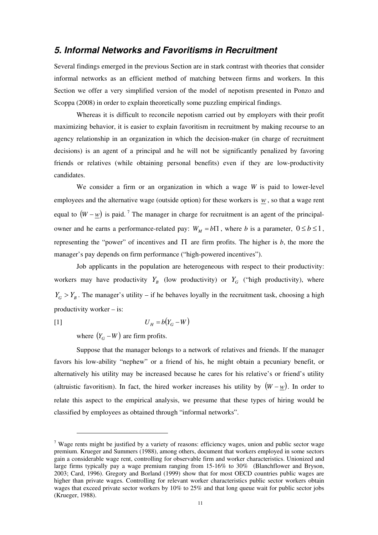# *5. Informal Networks and Favoritisms in Recruitment*

Several findings emerged in the previous Section are in stark contrast with theories that consider informal networks as an efficient method of matching between firms and workers. In this Section we offer a very simplified version of the model of nepotism presented in Ponzo and Scoppa (2008) in order to explain theoretically some puzzling empirical findings.

Whereas it is difficult to reconcile nepotism carried out by employers with their profit maximizing behavior, it is easier to explain favoritism in recruitment by making recourse to an agency relationship in an organization in which the decision-maker (in charge of recruitment decisions) is an agent of a principal and he will not be significantly penalized by favoring friends or relatives (while obtaining personal benefits) even if they are low-productivity candidates.

We consider a firm or an organization in which a wage *W* is paid to lower-level employees and the alternative wage (outside option) for these workers is *w* , so that a wage rent equal to  $(W - w)$  is paid.<sup>7</sup> The manager in charge for recruitment is an agent of the principalowner and he earns a performance-related pay:  $W_M = b\Pi$ , where *b* is a parameter,  $0 \le b \le 1$ , representing the "power" of incentives and  $\Pi$  are firm profits. The higher is *b*, the more the manager's pay depends on firm performance ("high-powered incentives").

Job applicants in the population are heterogeneous with respect to their productivity: workers may have productivity  $Y_B$  (low productivity) or  $Y_G$  ("high productivity), where  $Y_G > Y_B$ . The manager's utility – if he behaves loyally in the recruitment task, choosing a high productivity worker – is:

$$
U_H = b(Y_G - W)
$$

where  $(Y_G - W)$  are firm profits.

 $\overline{a}$ 

Suppose that the manager belongs to a network of relatives and friends. If the manager favors his low-ability "nephew" or a friend of his, he might obtain a pecuniary benefit, or alternatively his utility may be increased because he cares for his relative's or friend's utility (altruistic favoritism). In fact, the hired worker increases his utility by  $(W - w)$ . In order to relate this aspect to the empirical analysis, we presume that these types of hiring would be classified by employees as obtained through "informal networks".

<sup>&</sup>lt;sup>7</sup> Wage rents might be justified by a variety of reasons: efficiency wages, union and public sector wage premium. Krueger and Summers (1988), among others, document that workers employed in some sectors gain a considerable wage rent, controlling for observable firm and worker characteristics. Unionized and large firms typically pay a wage premium ranging from 15-16% to 30% (Blanchflower and Bryson, 2003; Card, 1996). Gregory and Borland (1999) show that for most OECD countries public wages are higher than private wages. Controlling for relevant worker characteristics public sector workers obtain wages that exceed private sector workers by 10% to 25% and that long queue wait for public sector jobs (Krueger, 1988).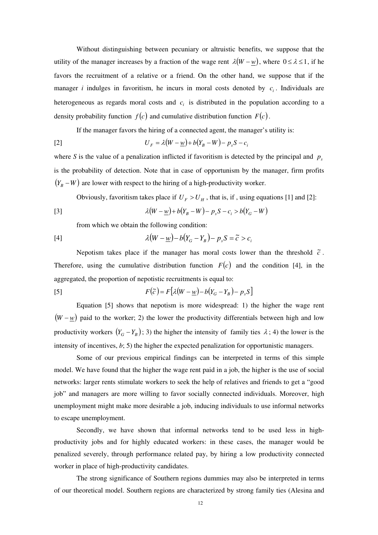Without distinguishing between pecuniary or altruistic benefits, we suppose that the utility of the manager increases by a fraction of the wage rent  $\lambda(W - w)$ , where  $0 \le \lambda \le 1$ , if he favors the recruitment of a relative or a friend. On the other hand, we suppose that if the manager *i* indulges in favoritism, he incurs in moral costs denoted by  $c_i$ . Individuals are heterogeneous as regards moral costs and  $c_i$  is distributed in the population according to a density probability function  $f(c)$  and cumulative distribution function  $F(c)$ .

If the manager favors the hiring of a connected agent, the manager's utility is:

$$
U_F = \lambda (W - \underline{w}) + b(Y_B - W) - p_s S - c_i
$$

where *S* is the value of a penalization inflicted if favoritism is detected by the principal and  $p<sub>s</sub>$ is the probability of detection. Note that in case of opportunism by the manager, firm profits  $(Y_B - W)$  are lower with respect to the hiring of a high-productivity worker.

Obviously, favoritism takes place if  $U_F > U_H$ , that is, if, using equations [1] and [2]:

[3] 
$$
\lambda (W - \underline{w}) + b(Y_B - W) - p_s S - c_i > b(Y_G - W)
$$

from which we obtain the following condition:

$$
[4] \qquad \lambda \big(W - \underline{w}\big) - b\big(Y_G - Y_B\big) - p_s S = \widetilde{c} > c_i
$$

Nepotism takes place if the manager has moral costs lower than the threshold  $\tilde{c}$ . Therefore, using the cumulative distribution function  $F(c)$  and the condition [4], in the aggregated, the proportion of nepotistic recruitments is equal to:

$$
F(\tilde{c}) = F[\lambda(W - \underline{w}) - b(Y_G - Y_B) - p_s S]
$$

Equation [5] shows that nepotism is more widespread: 1) the higher the wage rent  $(W - w)$  paid to the worker; 2) the lower the productivity differentials between high and low productivity workers  $(Y_G - Y_B)$ ; 3) the higher the intensity of family ties  $\lambda$ ; 4) the lower is the intensity of incentives, *b*; 5) the higher the expected penalization for opportunistic managers.

Some of our previous empirical findings can be interpreted in terms of this simple model. We have found that the higher the wage rent paid in a job, the higher is the use of social networks: larger rents stimulate workers to seek the help of relatives and friends to get a "good job" and managers are more willing to favor socially connected individuals. Moreover, high unemployment might make more desirable a job, inducing individuals to use informal networks to escape unemployment.

Secondly, we have shown that informal networks tend to be used less in highproductivity jobs and for highly educated workers: in these cases, the manager would be penalized severely, through performance related pay, by hiring a low productivity connected worker in place of high-productivity candidates.

The strong significance of Southern regions dummies may also be interpreted in terms of our theoretical model. Southern regions are characterized by strong family ties (Alesina and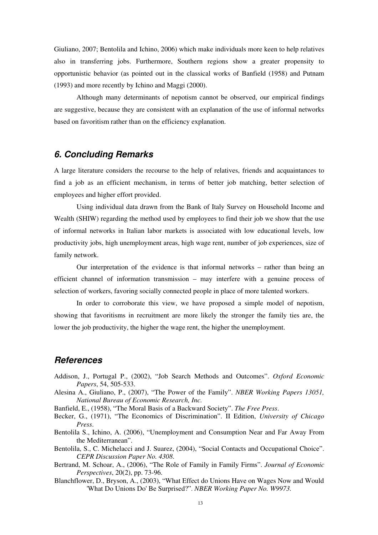Giuliano, 2007; Bentolila and Ichino, 2006) which make individuals more keen to help relatives also in transferring jobs. Furthermore, Southern regions show a greater propensity to opportunistic behavior (as pointed out in the classical works of Banfield (1958) and Putnam (1993) and more recently by Ichino and Maggi (2000).

Although many determinants of nepotism cannot be observed, our empirical findings are suggestive, because they are consistent with an explanation of the use of informal networks based on favoritism rather than on the efficiency explanation.

# *6. Concluding Remarks*

A large literature considers the recourse to the help of relatives, friends and acquaintances to find a job as an efficient mechanism, in terms of better job matching, better selection of employees and higher effort provided.

Using individual data drawn from the Bank of Italy Survey on Household Income and Wealth (SHIW) regarding the method used by employees to find their job we show that the use of informal networks in Italian labor markets is associated with low educational levels, low productivity jobs, high unemployment areas, high wage rent, number of job experiences, size of family network.

Our interpretation of the evidence is that informal networks – rather than being an efficient channel of information transmission – may interfere with a genuine process of selection of workers, favoring socially connected people in place of more talented workers.

In order to corroborate this view, we have proposed a simple model of nepotism, showing that favoritisms in recruitment are more likely the stronger the family ties are, the lower the job productivity, the higher the wage rent, the higher the unemployment.

# *References*

- Addison, J., Portugal P., (2002), "Job Search Methods and Outcomes". *Oxford Economic Papers*, 54, 505-533.
- Alesina A., Giuliano, P., (2007), "The Power of the Family". *NBER Working Papers 13051, National Bureau of Economic Research, Inc.*
- Banfield, E., (1958), "The Moral Basis of a Backward Society". *The Free Press*.
- Becker, G., (1971), "The Economics of Discrimination". II Edition, *University of Chicago Press*.
- Bentolila S., Ichino, A. (2006), "Unemployment and Consumption Near and Far Away From the Mediterranean".
- Bentolila, S., C. Michelacci and J. Suarez, (2004), "Social Contacts and Occupational Choice". *CEPR Discussion Paper No. 4308*.
- Bertrand, M. Schoar, A., (2006), "The Role of Family in Family Firms". *Journal of Economic Perspectives*, 20(2), pp. 73-96.
- Blanchflower, D., Bryson, A., (2003), "What Effect do Unions Have on Wages Now and Would 'What Do Unions Do' Be Surprised?". *NBER Working Paper No. W9973.*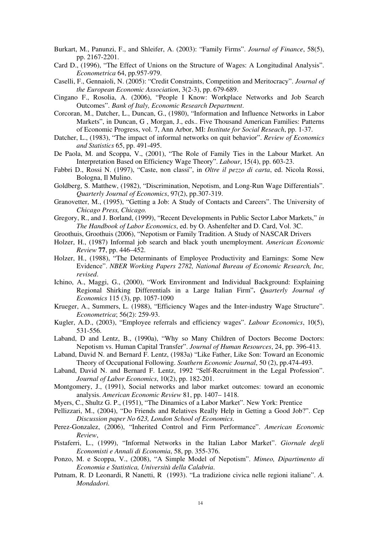- Burkart, M., Panunzi, F., and Shleifer, A. (2003): "Family Firms". *Journal of Finance*, 58(5), pp. 2167-2201.
- Card D., (1996), "The Effect of Unions on the Structure of Wages: A Longitudinal Analysis". *Econometrica* 64, pp.957-979.
- Caselli, F., Gennaioli, N. (2005): "Credit Constraints, Competition and Meritocracy". *Journal of the European Economic Association*, 3(2-3), pp. 679-689.
- Cingano F., Rosolia, A. (2006), "People I Know: Workplace Networks and Job Search Outcomes". *Bank of Italy, Economic Research Department*.
- Corcoran, M., Datcher, L., Duncan, G., (1980), "Information and Influence Networks in Labor Markets", in Duncan, G , Morgan, J., eds.. Five Thousand American Families: Patterns of Economic Progress, vol. 7, Ann Arbor, MI: *Institute for Social Reseach*, pp. 1-37.
- Datcher, L., (1983), "The impact of informal networks on quit behavior". *Review of Economics and Statistics* 65, pp. 491-495.
- De Paola, M. and Scoppa, V., (2001), "The Role of Family Ties in the Labour Market. An Interpretation Based on Efficiency Wage Theory". *Labour*, 15(4), pp. 603-23.
- Fabbri D., Rossi N. (1997), "Caste, non classi", in *Oltre il pezzo di carta*, ed. Nicola Rossi, Bologna, Il Mulino.
- Goldberg, S. Matthew, (1982), "Discrimination, Nepotism, and Long-Run Wage Differentials". *Quarterly Journal of Economics*, 97(2), pp.307-319.
- Granovetter, M., (1995), "Getting a Job: A Study of Contacts and Careers". The University of *Chicago Press, Chicago.*
- Gregory, R., and J. Borland, (1999), "Recent Developments in Public Sector Labor Markets," *in The Handbook of Labor Economics*, ed. by O. Ashenfelter and D. Card, Vol. 3C.
- Groothuis, Groothuis (2006), "Nepotism or Family Tradition. A Study of NASCAR Drivers
- Holzer, H., (1987) Informal job search and black youth unemployment. *American Economic Review* **77**, pp. 446–452.
- Holzer, H., (1988), "The Determinants of Employee Productivity and Earnings: Some New Evidence". *NBER Working Papers 2782, National Bureau of Economic Research, Inc, revised*.
- Ichino, A., Maggi, G., (2000), "Work Environment and Individual Background: Explaining Regional Shirking Differentials in a Large Italian Firm"**.** *Quarterly Journal of Economics* 115 (3), pp. 1057-1090
- Krueger, A., Summers, L. (1988), "Efficiency Wages and the Inter-industry Wage Structure". *Econometrica*; 56(2): 259-93.
- Kugler, A.D., (2003), "Employee referrals and efficiency wages". *Labour Economics*, 10(5), 531-556.
- Laband, D and Lentz, B., (1990a), "Why so Many Children of Doctors Become Doctors: Nepotism vs. Human Capital Transfer". *Journal of Human Resources*, 24, pp. 396-413.
- Laband, David N. and Bernard F. Lentz, (1983a) "Like Father, Like Son: Toward an Economic Theory of Occupational Following. *Southern Economic Journal*, 50 (2), pp.474-493.
- Laband, David N. and Bernard F. Lentz, 1992 "Self-Recruitment in the Legal Profession". *Journal of Labor Economics*, 10(2), pp. 182-201.
- Montgomery, J., (1991), Social networks and labor market outcomes: toward an economic analysis. *American Economic Review* 81, pp. 1407– 1418.
- Myers, C., Shultz G. P., (1951), "The Dinamics of a Labor Market". New York: Prentice
- Pellizzari, M., (2004), "Do Friends and Relatives Really Help in Getting a Good Job?". Cep *Discussion paper No 623, London School of Economics*.
- Perez-Gonzalez, (2006), "Inherited Control and Firm Performance". *American Economic Review*,
- Pistaferri, L., (1999), "Informal Networks in the Italian Labor Market". *Giornale degli Economisti e Annali di Economia*, 58, pp. 355-376.
- Ponzo, M. e Scoppa, V., (2008), "A Simple Model of Nepotism". *Mimeo, Dipartimento di Economia e Statistica, Università della Calabria*.
- Putnam, R. D Leonardi, R Nanetti, R (1993). "La tradizione civica nelle regioni italiane". *A. Mondadori.*